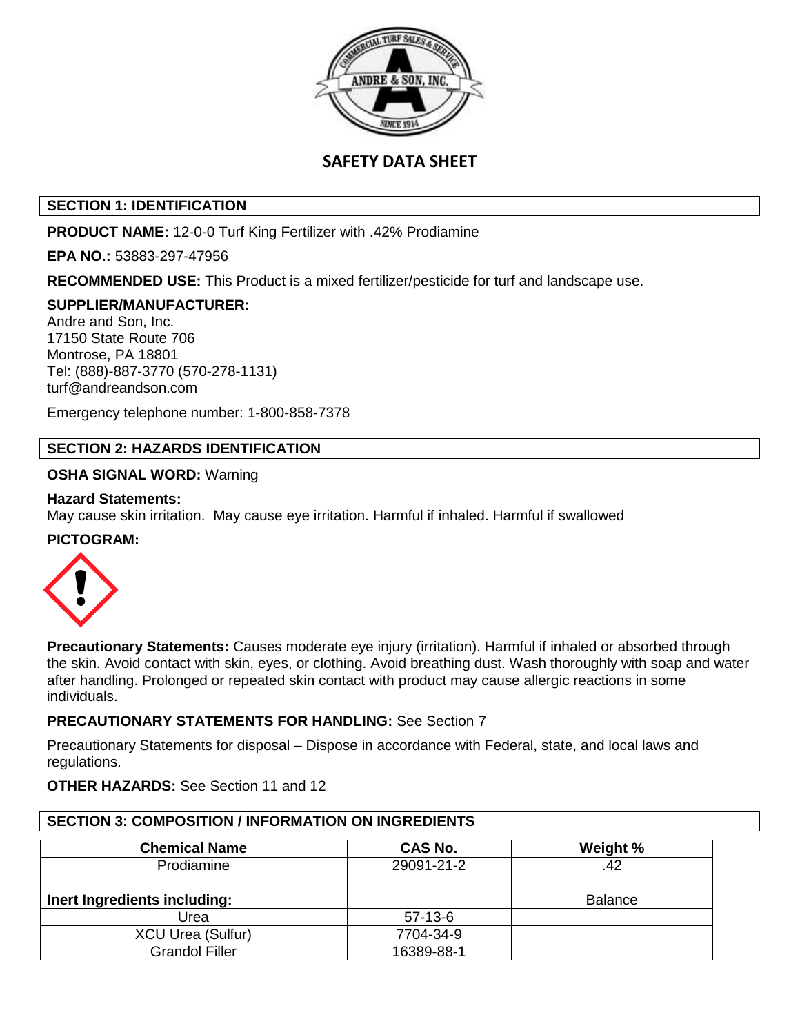

# **SAFETY DATA SHEET**

# **SECTION 1: IDENTIFICATION**

**PRODUCT NAME:** 12-0-0 Turf King Fertilizer with .42% Prodiamine

**EPA NO.:** 53883-297-47956

**RECOMMENDED USE:** This Product is a mixed fertilizer/pesticide for turf and landscape use.

## **SUPPLIER/MANUFACTURER:**

Andre and Son, Inc. 17150 State Route 706 Montrose, PA 18801 Tel: (888)-887-3770 (570-278-1131) turf@andreandson.com

Emergency telephone number: 1-800-858-7378

## **SECTION 2: HAZARDS IDENTIFICATION**

## **OSHA SIGNAL WORD:** Warning

## **Hazard Statements:**

May cause skin irritation. May cause eye irritation. Harmful if inhaled. Harmful if swallowed

## **PICTOGRAM:**



**Precautionary Statements:** Causes moderate eye injury (irritation). Harmful if inhaled or absorbed through the skin. Avoid contact with skin, eyes, or clothing. Avoid breathing dust. Wash thoroughly with soap and water after handling. Prolonged or repeated skin contact with product may cause allergic reactions in some individuals.

## **PRECAUTIONARY STATEMENTS FOR HANDLING:** See Section 7

Precautionary Statements for disposal – Dispose in accordance with Federal, state, and local laws and regulations.

## **OTHER HAZARDS:** See Section 11 and 12

## **SECTION 3: COMPOSITION / INFORMATION ON INGREDIENTS**

| <b>Chemical Name</b>         | CAS No.    | Weight % |
|------------------------------|------------|----------|
| Prodiamine                   | 29091-21-2 | .42      |
|                              |            |          |
| Inert Ingredients including: |            | Balance  |
| Urea                         | $57-13-6$  |          |
| <b>XCU Urea (Sulfur)</b>     | 7704-34-9  |          |
| <b>Grandol Filler</b>        | 16389-88-1 |          |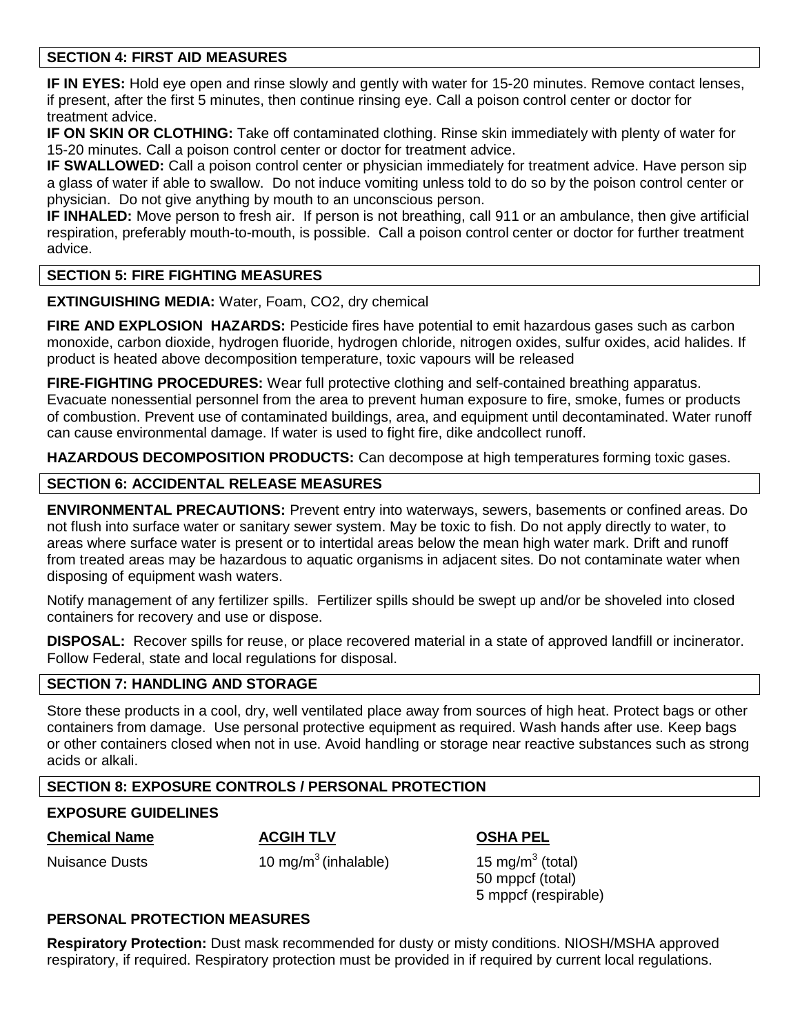# **SECTION 4: FIRST AID MEASURES**

**IF IN EYES:** Hold eye open and rinse slowly and gently with water for 15-20 minutes. Remove contact lenses, if present, after the first 5 minutes, then continue rinsing eye. Call a poison control center or doctor for treatment advice.

**IF ON SKIN OR CLOTHING:** Take off contaminated clothing. Rinse skin immediately with plenty of water for 15-20 minutes. Call a poison control center or doctor for treatment advice.

**IF SWALLOWED:** Call a poison control center or physician immediately for treatment advice. Have person sip a glass of water if able to swallow. Do not induce vomiting unless told to do so by the poison control center or physician. Do not give anything by mouth to an unconscious person.

**IF INHALED:** Move person to fresh air. If person is not breathing, call 911 or an ambulance, then give artificial respiration, preferably mouth-to-mouth, is possible. Call a poison control center or doctor for further treatment advice.

# **SECTION 5: FIRE FIGHTING MEASURES**

**EXTINGUISHING MEDIA:** Water, Foam, CO2, dry chemical

**FIRE AND EXPLOSION HAZARDS:** Pesticide fires have potential to emit hazardous gases such as carbon monoxide, carbon dioxide, hydrogen fluoride, hydrogen chloride, nitrogen oxides, sulfur oxides, acid halides. If product is heated above decomposition temperature, toxic vapours will be released

**FIRE-FIGHTING PROCEDURES:** Wear full protective clothing and self-contained breathing apparatus. Evacuate nonessential personnel from the area to prevent human exposure to fire, smoke, fumes or products of combustion. Prevent use of contaminated buildings, area, and equipment until decontaminated. Water runoff can cause environmental damage. If water is used to fight fire, dike andcollect runoff.

**HAZARDOUS DECOMPOSITION PRODUCTS:** Can decompose at high temperatures forming toxic gases.

# **SECTION 6: ACCIDENTAL RELEASE MEASURES**

**ENVIRONMENTAL PRECAUTIONS:** Prevent entry into waterways, sewers, basements or confined areas. Do not flush into surface water or sanitary sewer system. May be toxic to fish. Do not apply directly to water, to areas where surface water is present or to intertidal areas below the mean high water mark. Drift and runoff from treated areas may be hazardous to aquatic organisms in adjacent sites. Do not contaminate water when disposing of equipment wash waters.

Notify management of any fertilizer spills. Fertilizer spills should be swept up and/or be shoveled into closed containers for recovery and use or dispose.

**DISPOSAL:** Recover spills for reuse, or place recovered material in a state of approved landfill or incinerator. Follow Federal, state and local regulations for disposal.

## **SECTION 7: HANDLING AND STORAGE**

Store these products in a cool, dry, well ventilated place away from sources of high heat. Protect bags or other containers from damage. Use personal protective equipment as required. Wash hands after use. Keep bags or other containers closed when not in use. Avoid handling or storage near reactive substances such as strong acids or alkali.

# **SECTION 8: EXPOSURE CONTROLS / PERSONAL PROTECTION**

# **EXPOSURE GUIDELINES**

**Chemical Name ACGIH TLV OSHA PEL**

**Nuisance Dusts** 

10 mg/m $3$  (inhalable)

15 mg/m $3$  (total) 50 mppcf (total) 5 mppcf (respirable)

## **PERSONAL PROTECTION MEASURES**

**Respiratory Protection:** Dust mask recommended for dusty or misty conditions. NIOSH/MSHA approved respiratory, if required. Respiratory protection must be provided in if required by current local regulations.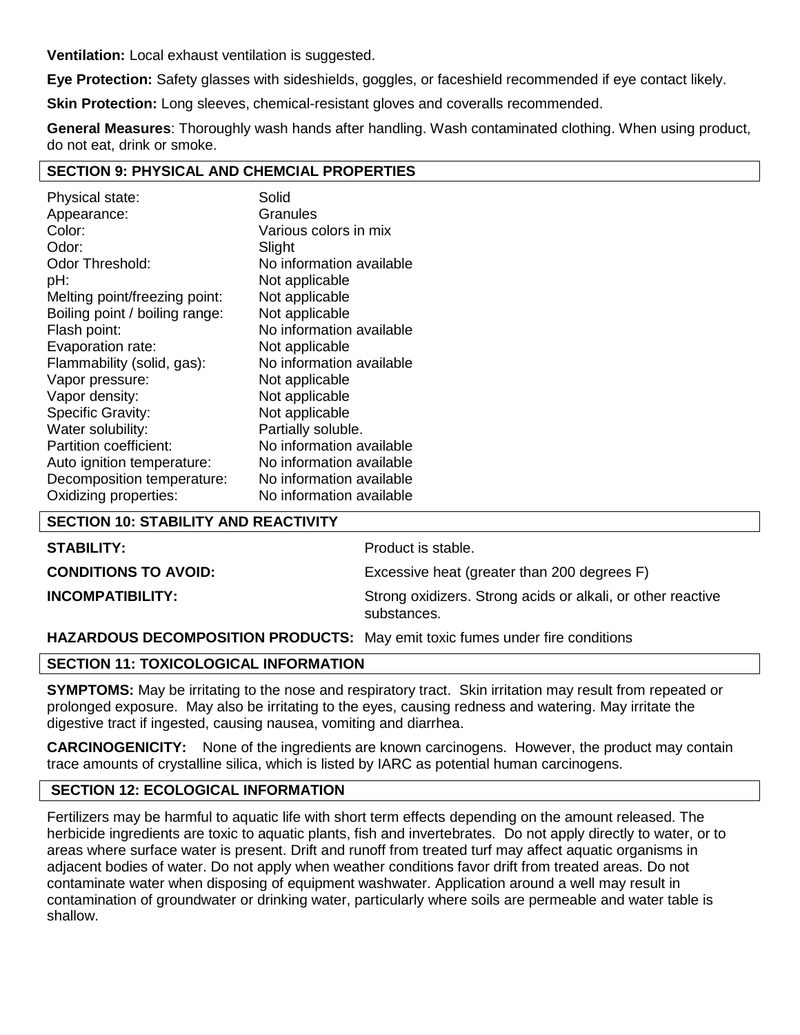**Ventilation:** Local exhaust ventilation is suggested.

**Eye Protection:** Safety glasses with sideshields, goggles, or faceshield recommended if eye contact likely.

**Skin Protection:** Long sleeves, chemical-resistant gloves and coveralls recommended.

**General Measures**: Thoroughly wash hands after handling. Wash contaminated clothing. When using product, do not eat, drink or smoke.

## **SECTION 9: PHYSICAL AND CHEMCIAL PROPERTIES**

| Physical state:                | Solid                    |
|--------------------------------|--------------------------|
| Appearance:                    | Granules                 |
| Color:                         | Various colors in mix    |
| Odor:                          | Slight                   |
| Odor Threshold:                | No information available |
| pH:                            | Not applicable           |
| Melting point/freezing point:  | Not applicable           |
| Boiling point / boiling range: | Not applicable           |
| Flash point:                   | No information available |
| Evaporation rate:              | Not applicable           |
| Flammability (solid, gas):     | No information available |
| Vapor pressure:                | Not applicable           |
| Vapor density:                 | Not applicable           |
| Specific Gravity:              | Not applicable           |
| Water solubility:              | Partially soluble.       |
| Partition coefficient:         | No information available |
| Auto ignition temperature:     | No information available |
| Decomposition temperature:     | No information available |
| Oxidizing properties:          | No information available |

## **SECTION 10: STABILITY AND REACTIVITY**

| <b>STABILITY:</b>           | Product is stable.                                                         |
|-----------------------------|----------------------------------------------------------------------------|
| <b>CONDITIONS TO AVOID:</b> | Excessive heat (greater than 200 degrees F)                                |
| <b>INCOMPATIBILITY:</b>     | Strong oxidizers. Strong acids or alkali, or other reactive<br>substances. |

## **HAZARDOUS DECOMPOSITION PRODUCTS:** May emit toxic fumes under fire conditions

## **SECTION 11: TOXICOLOGICAL INFORMATION**

**SYMPTOMS:** May be irritating to the nose and respiratory tract. Skin irritation may result from repeated or prolonged exposure. May also be irritating to the eyes, causing redness and watering. May irritate the digestive tract if ingested, causing nausea, vomiting and diarrhea.

**CARCINOGENICITY:** None of the ingredients are known carcinogens. However, the product may contain trace amounts of crystalline silica, which is listed by IARC as potential human carcinogens.

# **SECTION 12: ECOLOGICAL INFORMATION**

Fertilizers may be harmful to aquatic life with short term effects depending on the amount released. The herbicide ingredients are toxic to aquatic plants, fish and invertebrates. Do not apply directly to water, or to areas where surface water is present. Drift and runoff from treated turf may affect aquatic organisms in adjacent bodies of water. Do not apply when weather conditions favor drift from treated areas. Do not contaminate water when disposing of equipment washwater. Application around a well may result in contamination of groundwater or drinking water, particularly where soils are permeable and water table is shallow.